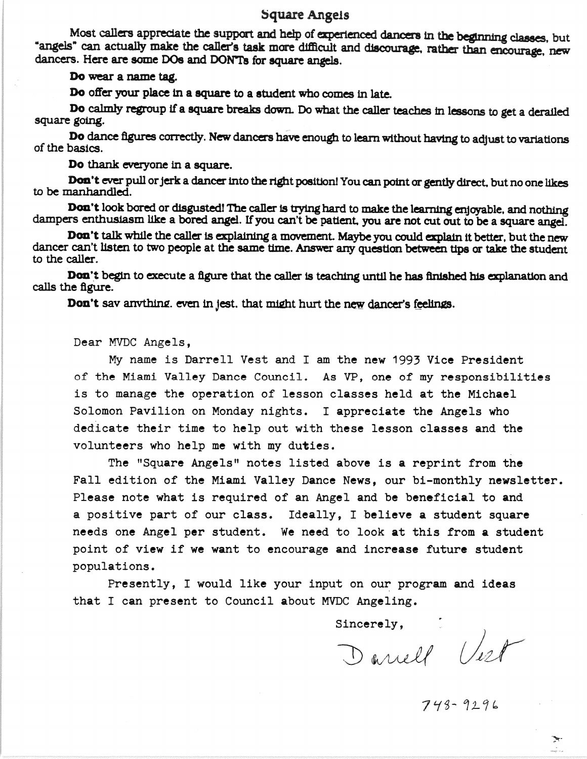## Square Angels

Most callers appreciate the support and help of experienced dancers in the beginning classes, but "angels" can actually make the caller's task more difficult and discourage, rather than encourage, new dancers. Here are some DOs and DONTs for square angels.

Do wear a name tag.

Do offer your place in a square to a student who comes in late.

Do calmly regroup if a square breaks down. Do what the caller teaches in lessons to get a derailed square going.

Do dance figures correctly. New dancers have enough to learn without having to adjust to variations of the basics.

Do thank everyone in a square.

Don't ever pull or jerk a dancer into the right position! You can point or gently direct, but no one likes to be manhandled.

Don't look bored or disgusted! The caller is trying hard to make the learning enjoyable, and nothing dampers enthusiasm like a bored angel. If you can't be patient, you are not cut out to be a square angel.

Don't talk while the caller is explaining a movement. Maybe you could explain it better, but the new dancer can't listen to two people at the same time. Answer any question between tips or take the student to the caller.

Don't begin to execute a figure that the caller is teaching until he has finished his explanation and calls the figure.

Don't sav anything, even in jest, that might hurt the new dancer's feelings.

Dear MVDC Angels,

My name is Darrell Vest and I am the new 1993 Vice President of the Miami Valley Dance Council. As VP, one of my responsibilities is to manage the operation of lesson classes held at the Michael Solomon Pavilion on Monday nights. I appreciate the Angels who dedicate their time to help out with these lesson classes and the volunteers who help me with my duties.

The "Square Angels" notes listed above is a reprint from the Fall edition of the Miami Valley Dance News, our bi-monthly newsletter. Please note what is required of an Angel and be beneficial to and a positive part of our class. Ideally, I believe a student square needs one Angel per student. We need to look at this from a student point of view if we want to encourage and increase future student populations.

Presently, I would like your input on our program and ideas that I can present to Council about MVDC Angeling.

Sincerely, Jest

 $743 - 9296$